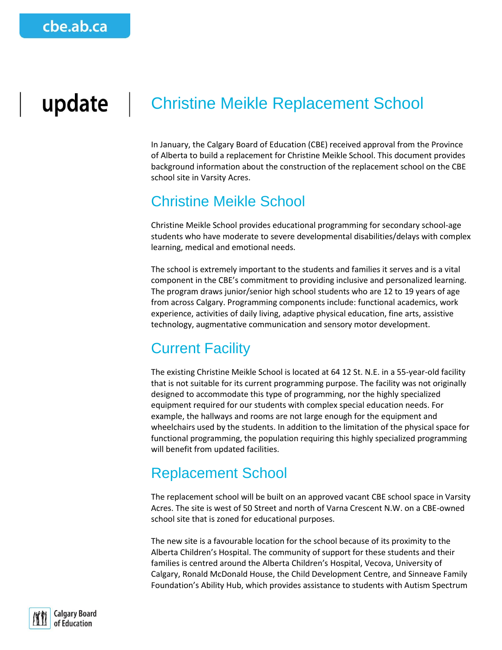## update Christine Meikle Replacement School

In January, the Calgary Board of Education (CBE) received approval from the Province of Alberta to build a replacement for Christine Meikle School. This document provides background information about the construction of the replacement school on the CBE school site in Varsity Acres.

## Christine Meikle School

Christine Meikle School provides educational programming for secondary school-age students who have moderate to severe developmental disabilities/delays with complex learning, medical and emotional needs.

The school is extremely important to the students and families it serves and is a vital component in the CBE's commitment to providing inclusive and personalized learning. The program draws junior/senior high school students who are 12 to 19 years of age from across Calgary. Programming components include: functional academics, work experience, activities of daily living, adaptive physical education, fine arts, assistive technology, augmentative communication and sensory motor development.

# Current Facility

The existing Christine Meikle School is located at 64 12 St. N.E. in a 55-year-old facility that is not suitable for its current programming purpose. The facility was not originally designed to accommodate this type of programming, nor the highly specialized equipment required for our students with complex special education needs. For example, the hallways and rooms are not large enough for the equipment and wheelchairs used by the students. In addition to the limitation of the physical space for functional programming, the population requiring this highly specialized programming will benefit from updated facilities.

## Replacement School

The replacement school will be built on an approved vacant CBE school space in Varsity Acres. The site is west of 50 Street and north of Varna Crescent N.W. on a CBE-owned school site that is zoned for educational purposes.

The new site is a favourable location for the school because of its proximity to the Alberta Children's Hospital. The community of support for these students and their families is centred around the Alberta Children's Hospital, Vecova, University of Calgary, Ronald McDonald House, the Child Development Centre, and Sinneave Family Foundation's Ability Hub, which provides assistance to students with Autism Spectrum

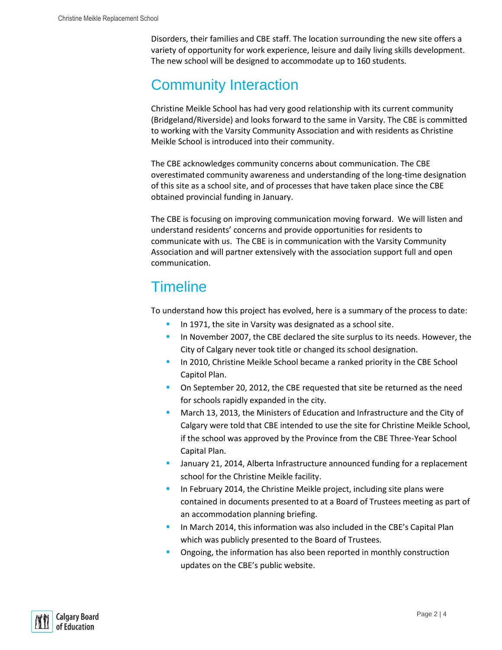Disorders, their families and CBE staff. The location surrounding the new site offers a variety of opportunity for work experience, leisure and daily living skills development. The new school will be designed to accommodate up to 160 students.

# Community Interaction

Christine Meikle School has had very good relationship with its current community (Bridgeland/Riverside) and looks forward to the same in Varsity. The CBE is committed to working with the Varsity Community Association and with residents as Christine Meikle School is introduced into their community.

The CBE acknowledges community concerns about communication. The CBE overestimated community awareness and understanding of the long-time designation of this site as a school site, and of processes that have taken place since the CBE obtained provincial funding in January.

The CBE is focusing on improving communication moving forward. We will listen and understand residents' concerns and provide opportunities for residents to communicate with us. The CBE is in communication with the Varsity Community Association and will partner extensively with the association support full and open communication.

# **Timeline**

To understand how this project has evolved, here is a summary of the process to date:

- In 1971, the site in Varsity was designated as a school site.
- In November 2007, the CBE declared the site surplus to its needs. However, the City of Calgary never took title or changed its school designation.
- In 2010, Christine Meikle School became a ranked priority in the CBE School Capitol Plan.
- **On September 20, 2012, the CBE requested that site be returned as the need** for schools rapidly expanded in the city.
- March 13, 2013, the Ministers of Education and Infrastructure and the City of Calgary were told that CBE intended to use the site for Christine Meikle School, if the school was approved by the Province from the CBE Three-Year School Capital Plan.
- January 21, 2014, Alberta Infrastructure announced funding for a replacement school for the Christine Meikle facility.
- In February 2014, the Christine Meikle project, including site plans were contained in documents presented to at a Board of Trustees meeting as part of an accommodation planning briefing.
- In March 2014, this information was also included in the CBE's Capital Plan which was publicly presented to the Board of Trustees.
- Ongoing, the information has also been reported in monthly construction updates on the CBE's public website.

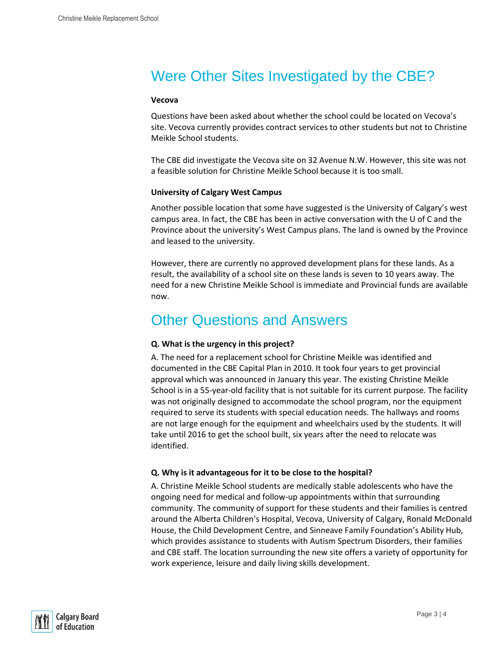# Were Other Sites Investigated by the CBE?

#### **Vecova**

Questions have been asked about whether the school could be located on Vecova's site. Vecova currently provides contract services to other students but not to Christine Meikle School students.

The CBE did investigate the Vecova site on 32 Avenue N.W. However, this site was not a feasible solution for Christine Meikle School because it is too small.

#### **University of Calgary West Campus**

Another possible location that some have suggested is the University of Calgary's west campus area. In fact, the CBE has been in active conversation with the U of C and the Province about the university's West Campus plans. The land is owned by the Province and leased to the university.

However, there are currently no approved development plans for these lands. As a result, the availability of a school site on these lands is seven to 10 years away. The need for a new Christine Meikle School is immediate and Provincial funds are available now.

# Other Questions and Answers

### **Q. What is the urgency in this project?**

A. The need for a replacement school for Christine Meikle was identified and documented in the CBE Capital Plan in 2010. It took four years to get provincial approval which was announced in January this year. The existing Christine Meikle School is in a 55-year-old facility that is not suitable for its current purpose. The facility was not originally designed to accommodate the school program, nor the equipment required to serve its students with special education needs. The hallways and rooms are not large enough for the equipment and wheelchairs used by the students. It will take until 2016 to get the school built, six years after the need to relocate was identified.

### **Q. Why is it advantageous for it to be close to the hospital?**

A. Christine Meikle School students are medically stable adolescents who have the ongoing need for medical and follow-up appointments within that surrounding community. The community of support for these students and their families is centred around the Alberta Children's Hospital, Vecova, University of Calgary, Ronald McDonald House, the Child Development Centre, and Sinneave Family Foundation's Ability Hub, which provides assistance to students with Autism Spectrum Disorders, their families and CBE staff. The location surrounding the new site offers a variety of opportunity for work experience, leisure and daily living skills development.